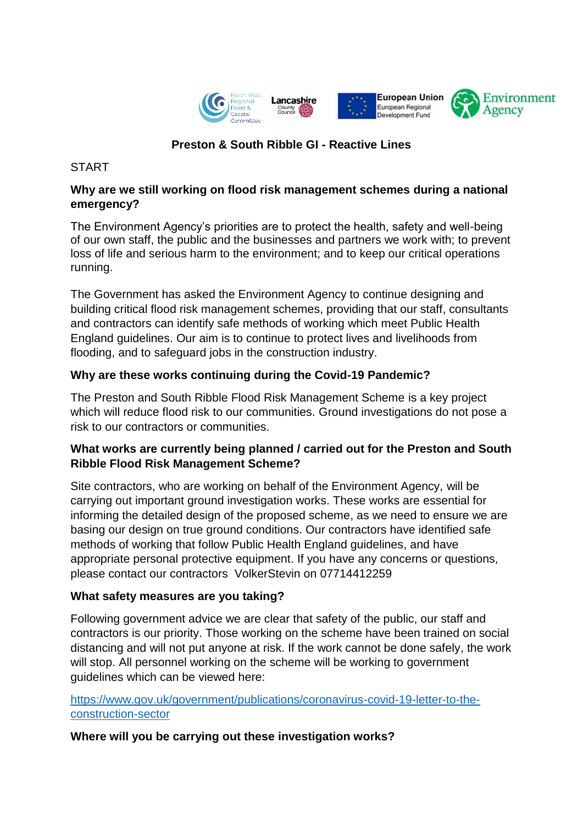

# **Preston & South Ribble GI - Reactive Lines**

## **START**

## **Why are we still working on flood risk management schemes during a national emergency?**

The Environment Agency's priorities are to protect the health, safety and well-being of our own staff, the public and the businesses and partners we work with; to prevent loss of life and serious harm to the environment; and to keep our critical operations running.

The Government has asked the Environment Agency to continue designing and building critical flood risk management schemes, providing that our staff, consultants and contractors can identify safe methods of working which meet Public Health England guidelines. Our aim is to continue to protect lives and livelihoods from flooding, and to safeguard jobs in the construction industry.

## **Why are these works continuing during the Covid-19 Pandemic?**

The Preston and South Ribble Flood Risk Management Scheme is a key project which will reduce flood risk to our communities. Ground investigations do not pose a risk to our contractors or communities.

## **What works are currently being planned / carried out for the Preston and South Ribble Flood Risk Management Scheme?**

Site contractors, who are working on behalf of the Environment Agency, will be carrying out important ground investigation works. These works are essential for informing the detailed design of the proposed scheme, as we need to ensure we are basing our design on true ground conditions. Our contractors have identified safe methods of working that follow Public Health England guidelines, and have appropriate personal protective equipment. If you have any concerns or questions, please contact our contractors VolkerStevin on 07714412259

## **What safety measures are you taking?**

Following government advice we are clear that safety of the public, our staff and contractors is our priority. Those working on the scheme have been trained on social distancing and will not put anyone at risk. If the work cannot be done safely, the work will stop. All personnel working on the scheme will be working to government guidelines which can be viewed here:

#### [https://www.gov.uk/government/publications/coronavirus-covid-19-letter-to-the](https://www.gov.uk/government/publications/coronavirus-covid-19-letter-to-the-construction-sector)[construction-sector](https://www.gov.uk/government/publications/coronavirus-covid-19-letter-to-the-construction-sector)

#### **Where will you be carrying out these investigation works?**